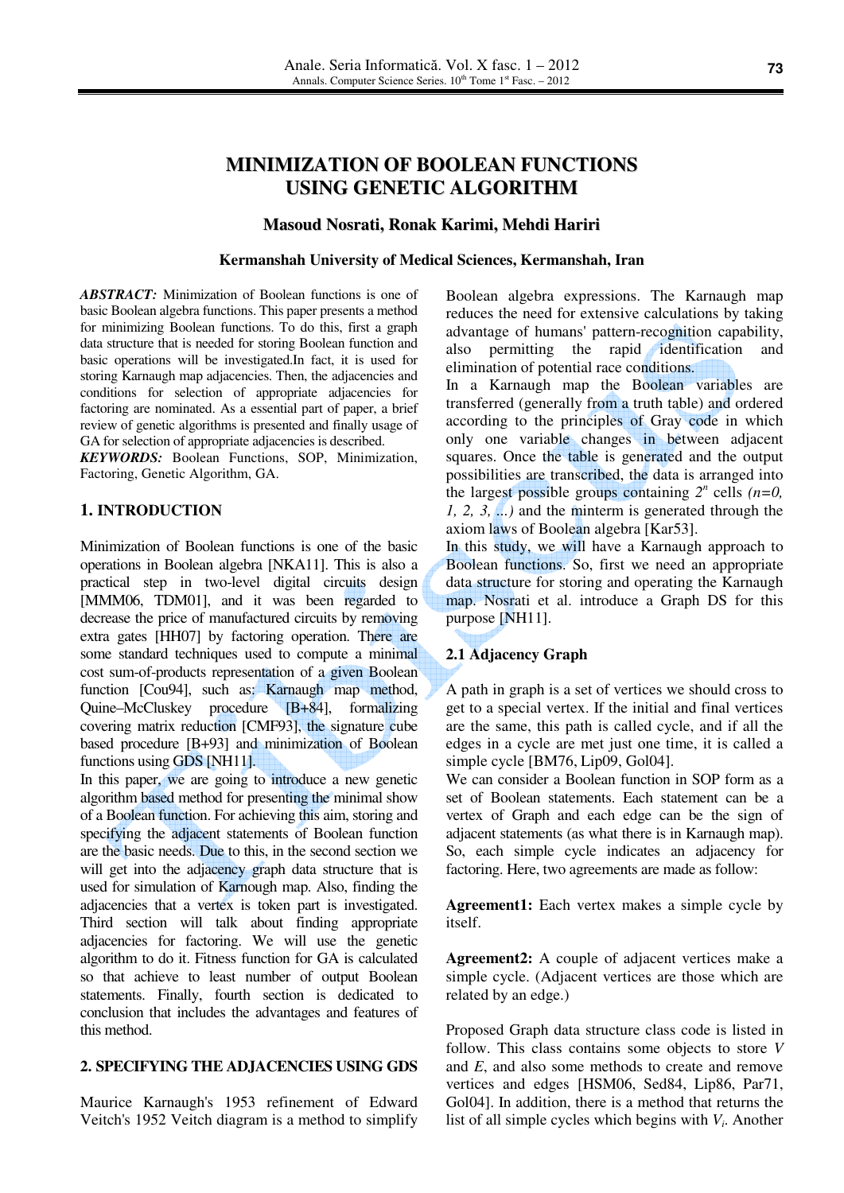# **MINIMIZATION OF BOOLEAN FUNCTIONS USING GENETIC ALGORITHM**

#### **Masoud Nosrati, Ronak Karimi, Mehdi Hariri**

#### **Kermanshah University of Medical Sciences, Kermanshah, Iran**

*ABSTRACT:* Minimization of Boolean functions is one of basic Boolean algebra functions. This paper presents a method for minimizing Boolean functions. To do this, first a graph data structure that is needed for storing Boolean function and basic operations will be investigated.In fact, it is used for storing Karnaugh map adjacencies. Then, the adjacencies and conditions for selection of appropriate adjacencies for factoring are nominated. As a essential part of paper, a brief review of genetic algorithms is presented and finally usage of GA for selection of appropriate adjacencies is described.

*KEYWORDS:* Boolean Functions, SOP, Minimization, Factoring, Genetic Algorithm, GA.

# **1. INTRODUCTION**

Minimization of Boolean functions is one of the basic operations in Boolean algebra [NKA11]. This is also a practical step in two-level digital circuits design [MMM06, TDM01], and it was been regarded to decrease the price of manufactured circuits by removing extra gates [HH07] by factoring operation. There are some standard techniques used to compute a minimal cost sum-of-products representation of a given Boolean function [Cou94], such as: Karnaugh map method, Quine–McCluskey procedure [B+84], formalizing covering matrix reduction [CMF93], the signature cube based procedure [B+93] and minimization of Boolean functions using GDS [NH11].

In this paper, we are going to introduce a new genetic algorithm based method for presenting the minimal show of a Boolean function. For achieving this aim, storing and specifying the adjacent statements of Boolean function are the basic needs. Due to this, in the second section we will get into the adjacency graph data structure that is used for simulation of Karnough map. Also, finding the adjacencies that a vertex is token part is investigated. Third section will talk about finding appropriate adjacencies for factoring. We will use the genetic algorithm to do it. Fitness function for GA is calculated so that achieve to least number of output Boolean statements. Finally, fourth section is dedicated to conclusion that includes the advantages and features of this method.

#### **2. SPECIFYING THE ADJACENCIES USING GDS**

Maurice Karnaugh's 1953 refinement of Edward Veitch's 1952 Veitch diagram is a method to simplify Boolean algebra expressions. The Karnaugh map reduces the need for extensive calculations by taking advantage of humans' pattern-recognition capability, also permitting the rapid identification and elimination of potential race conditions.

In a Karnaugh map the Boolean variables are transferred (generally from a truth table) and ordered according to the principles of Gray code in which only one variable changes in between adjacent squares. Once the table is generated and the output possibilities are transcribed, the data is arranged into the largest possible groups containing  $2^n$  cells  $(n=0, 1)$ *1, 2, 3, ...)* and the minterm is generated through the axiom laws of Boolean algebra [Kar53].

In this study, we will have a Karnaugh approach to Boolean functions. So, first we need an appropriate data structure for storing and operating the Karnaugh map. Nosrati et al. introduce a Graph DS for this purpose [NH11].

#### **2.1 Adjacency Graph**

A path in graph is a set of vertices we should cross to get to a special vertex. If the initial and final vertices are the same, this path is called cycle, and if all the edges in a cycle are met just one time, it is called a simple cycle [BM76, Lip09, Gol04].

We can consider a Boolean function in SOP form as a set of Boolean statements. Each statement can be a vertex of Graph and each edge can be the sign of adjacent statements (as what there is in Karnaugh map). So, each simple cycle indicates an adjacency for factoring. Here, two agreements are made as follow:

**Agreement1:** Each vertex makes a simple cycle by itself.

**Agreement2:** A couple of adjacent vertices make a simple cycle. (Adjacent vertices are those which are related by an edge.)

Proposed Graph data structure class code is listed in follow. This class contains some objects to store *V* and *E*, and also some methods to create and remove vertices and edges [HSM06, Sed84, Lip86, Par71, Gol04]. In addition, there is a method that returns the list of all simple cycles which begins with *V<sup>i</sup>* . Another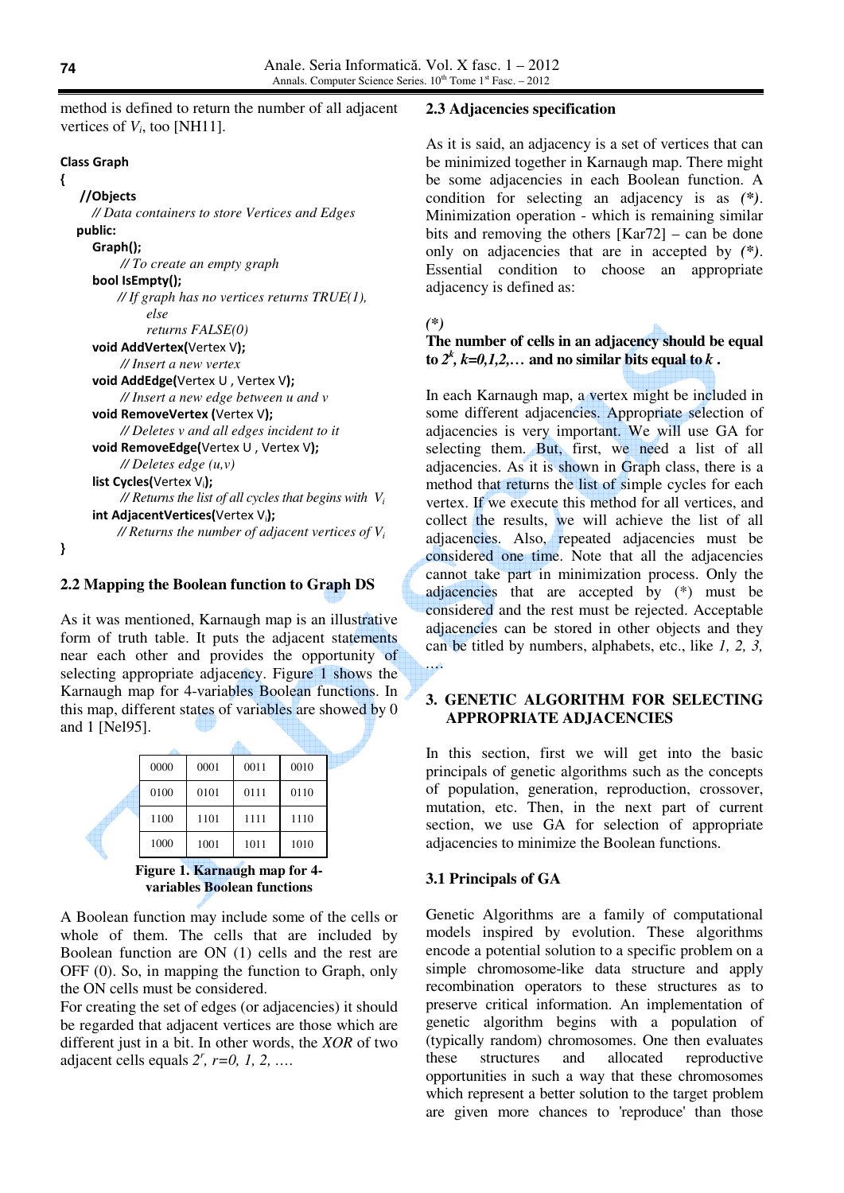method is defined to return the number of all adjacent vertices of  $V_i$ , too [NH11].

#### Class Graph

## {

}

```
 //Objects 
  // Data containers to store Vertices and Edges 
 public: 
   Graph(); 
         // To create an empty graph
  bool IsEmpty(); 
       // If graph has no vertices returns TRUE(1), 
              else 
              returns FALSE(0) 
  void AddVertex(Vertex V); 
         // Insert a new vertex
  void AddEdge(Vertex U , Vertex V); 
         // Insert a new edge between u and v
  void RemoveVertex (Vertex V); 
         // Deletes v and all edges incident to it
  void RemoveEdge(Vertex U, Vertex V);
         // Deletes edge (u,v)
   list Cycles(Vertex V<sub>i</sub>);
        \ell Returns the list of all cycles that begins with V_iint AdjacentVertices(Vertex Vi
); 
       // Returns the number of adjacent vertices of Vi
```
## **2.2 Mapping the Boolean function to Graph DS**

As it was mentioned, Karnaugh map is an illustrative form of truth table. It puts the adjacent statements near each other and provides the opportunity of selecting appropriate adjacency. Figure 1 shows the Karnaugh map for 4-variables Boolean functions. In this map, different states of variables are showed by 0 and 1 [Nel95].

| 0000 | 0001 | 0011 | 0010 |
|------|------|------|------|
| 0100 | 0101 | 0111 | 0110 |
| 1100 | 1101 | 1111 | 1110 |
| 1000 | 1001 | 1011 | 1010 |
|      |      |      | ___  |

**Figure 1. Karnaugh map for 4 variables Boolean functions** 

A Boolean function may include some of the cells or whole of them. The cells that are included by Boolean function are ON (1) cells and the rest are OFF (0). So, in mapping the function to Graph, only the ON cells must be considered.

For creating the set of edges (or adjacencies) it should be regarded that adjacent vertices are those which are different just in a bit. In other words, the *XOR* of two adjacent cells equals  $2^r$ ,  $r=0, 1, 2, ...$ 

#### **2.3 Adjacencies specification**

As it is said, an adjacency is a set of vertices that can be minimized together in Karnaugh map. There might be some adjacencies in each Boolean function. A condition for selecting an adjacency is as *(\*)*. Minimization operation - which is remaining similar bits and removing the others [Kar72] – can be done only on adjacencies that are in accepted by *(\*)*. Essential condition to choose an appropriate adjacency is defined as:

#### *(\*)*

## **The number of cells in an adjacency should be equal** to  $2^k$ ,  $k=0,1,2,...$  and no similar bits equal to  $k$ .

In each Karnaugh map, a vertex might be included in some different adjacencies. Appropriate selection of adjacencies is very important. We will use GA for selecting them. But, first, we need a list of all adjacencies. As it is shown in Graph class, there is a method that returns the list of simple cycles for each vertex. If we execute this method for all vertices, and collect the results, we will achieve the list of all adjacencies. Also, repeated adjacencies must be considered one time. Note that all the adjacencies cannot take part in minimization process. Only the adjacencies that are accepted by (\*) must be considered and the rest must be rejected. Acceptable adjacencies can be stored in other objects and they can be titled by numbers, alphabets, etc., like *1, 2, 3, …*.

## **3. GENETIC ALGORITHM FOR SELECTING APPROPRIATE ADJACENCIES**

In this section, first we will get into the basic principals of genetic algorithms such as the concepts of population, generation, reproduction, crossover, mutation, etc. Then, in the next part of current section, we use GA for selection of appropriate adjacencies to minimize the Boolean functions.

#### **3.1 Principals of GA**

Genetic Algorithms are a family of computational models inspired by evolution. These algorithms encode a potential solution to a specific problem on a simple chromosome-like data structure and apply recombination operators to these structures as to preserve critical information. An implementation of genetic algorithm begins with a population of (typically random) chromosomes. One then evaluates these structures and allocated reproductive opportunities in such a way that these chromosomes which represent a better solution to the target problem are given more chances to 'reproduce' than those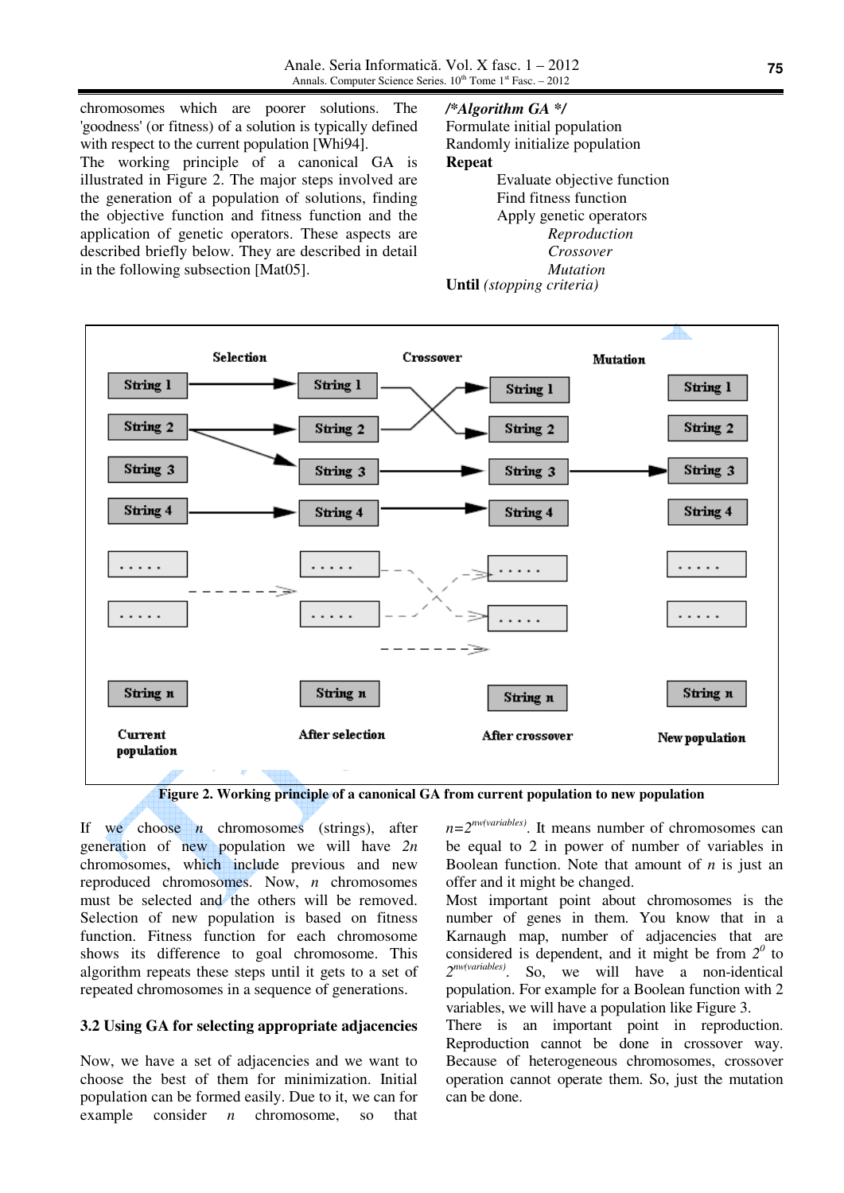chromosomes which are poorer solutions. The 'goodness' (or fitness) of a solution is typically defined with respect to the current population [Whi94]. The working principle of a canonical GA is illustrated in Figure 2. The major steps involved are the generation of a population of solutions, finding the objective function and fitness function and the application of genetic operators. These aspects are described briefly below. They are described in detail in the following subsection [Mat05].

# */\*Algorithm GA \*/*

Formulate initial population Randomly initialize population **Repeat**  Evaluate objective function Find fitness function Apply genetic operators *Reproduction Crossover Mutation* **Until** *(stopping criteria)*



**Figure 2. Working principle of a canonical GA from current population to new population** 

If we choose *n* chromosomes (strings), after generation of new population we will have *2n* chromosomes, which include previous and new reproduced chromosomes. Now, *n* chromosomes must be selected and the others will be removed. Selection of new population is based on fitness function. Fitness function for each chromosome shows its difference to goal chromosome. This algorithm repeats these steps until it gets to a set of repeated chromosomes in a sequence of generations.

#### **3.2 Using GA for selecting appropriate adjacencies**

Now, we have a set of adjacencies and we want to choose the best of them for minimization. Initial population can be formed easily. Due to it, we can for example consider *n* chromosome, so that *n=2nw(variables)*. It means number of chromosomes can be equal to 2 in power of number of variables in Boolean function. Note that amount of *n* is just an offer and it might be changed.

Most important point about chromosomes is the number of genes in them. You know that in a Karnaugh map, number of adjacencies that are considered is dependent, and it might be from  $2^0$  to *2 nw(variables)*. So, we will have a non-identical population. For example for a Boolean function with 2 variables, we will have a population like Figure 3.

There is an important point in reproduction. Reproduction cannot be done in crossover way. Because of heterogeneous chromosomes, crossover operation cannot operate them. So, just the mutation can be done.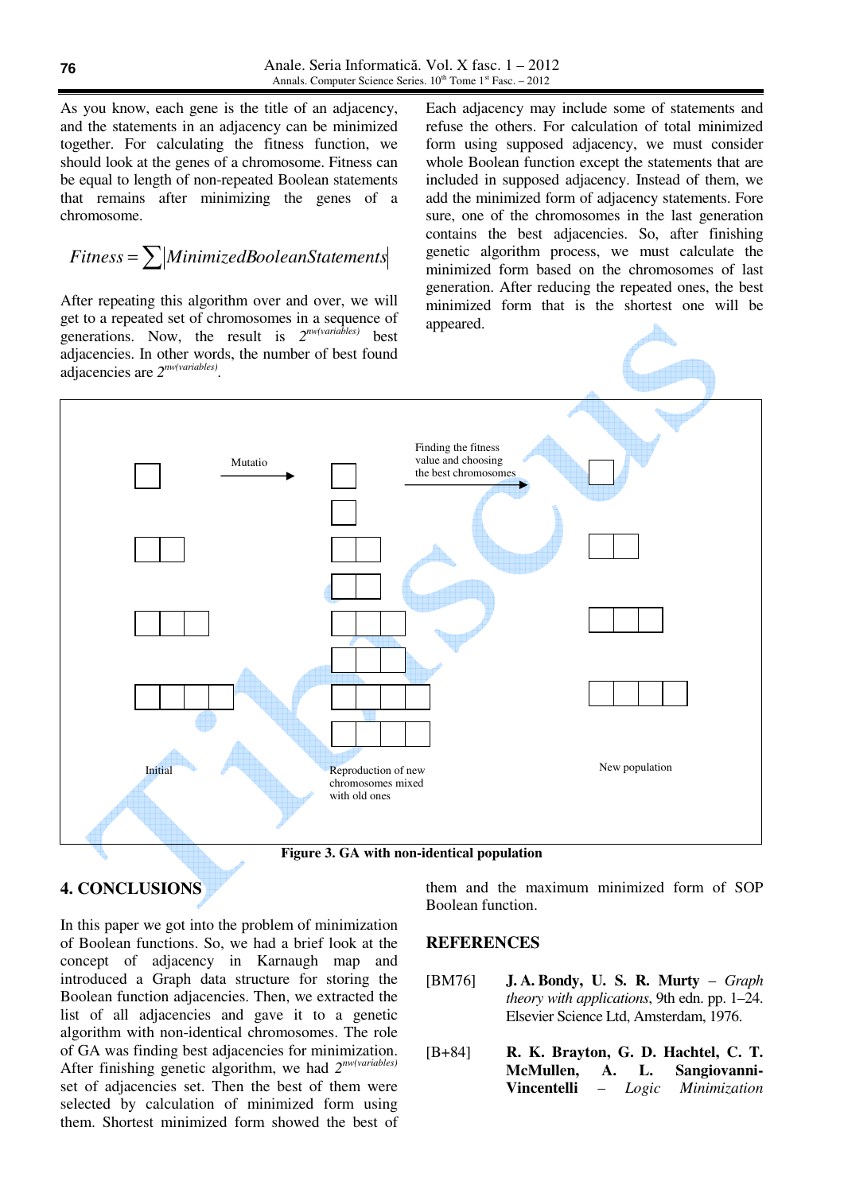As you know, each gene is the title of an adjacency, and the statements in an adjacency can be minimized together. For calculating the fitness function, we should look at the genes of a chromosome. Fitness can be equal to length of non-repeated Boolean statements that remains after minimizing the genes of a chromosome.

$$
Fitness = \sum |MinimizedBooleanStatements|
$$

After repeating this algorithm over and over, we will get to a repeated set of chromosomes in a sequence of generations. Now, the result is *2 nw(variables)* best adjacencies. In other words, the number of best found

Each adjacency may include some of statements and refuse the others. For calculation of total minimized form using supposed adjacency, we must consider whole Boolean function except the statements that are included in supposed adjacency. Instead of them, we add the minimized form of adjacency statements. Fore sure, one of the chromosomes in the last generation contains the best adjacencies. So, after finishing genetic algorithm process, we must calculate the minimized form based on the chromosomes of last generation. After reducing the repeated ones, the best minimized form that is the shortest one will be appeared.



# **4. CONCLUSIONS**

In this paper we got into the problem of minimization of Boolean functions. So, we had a brief look at the concept of adjacency in Karnaugh map and introduced a Graph data structure for storing the Boolean function adjacencies. Then, we extracted the list of all adjacencies and gave it to a genetic algorithm with non-identical chromosomes. The role of GA was finding best adjacencies for minimization. After finishing genetic algorithm, we had *2 nw(variables)* set of adjacencies set. Then the best of them were selected by calculation of minimized form using them. Shortest minimized form showed the best of them and the maximum minimized form of SOP Boolean function.

## **REFERENCES**

- [BM76] **J. A. Bondy, U. S. R. Murty** *Graph theory with applications*, 9th edn. pp. 1–24. Elsevier Science Ltd, Amsterdam, 1976.
- [B+84] **R. K. Brayton, G. D. Hachtel, C. T. McMullen, A. L. Sangiovanni-Vincentelli** – *Logic Minimization*